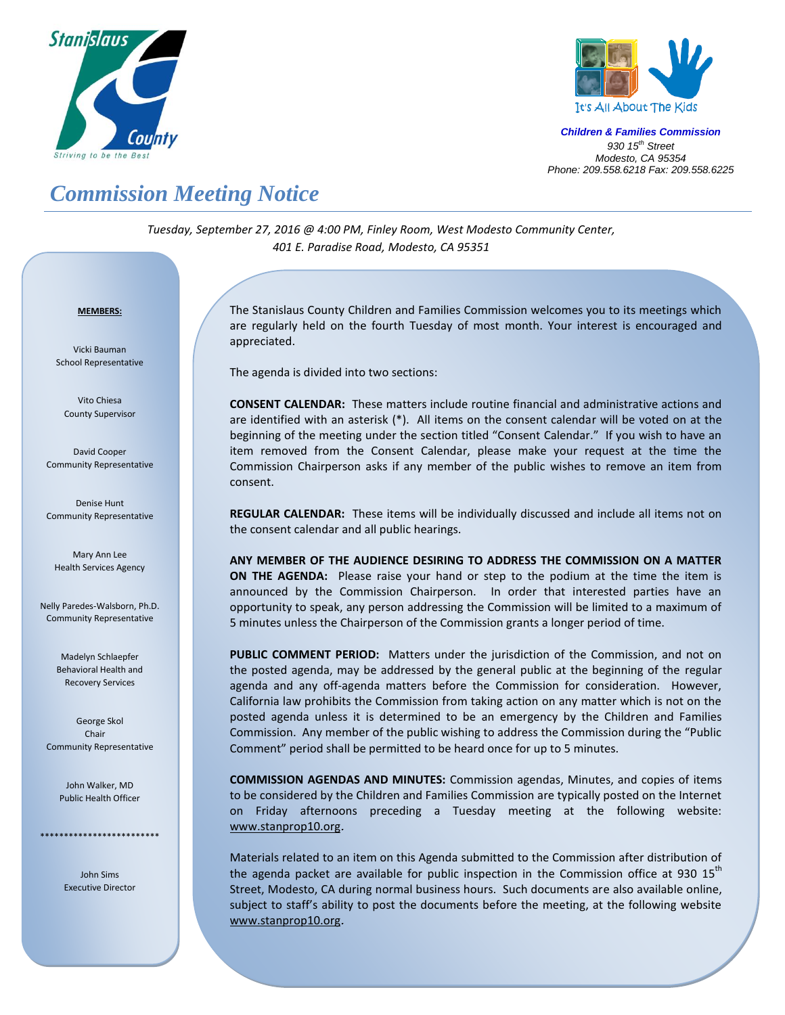



*Children & Families Commission 930 15 th Street Modesto, CA 95354 Phone: 209.558.6218 Fax: 209.558.6225*

## *Commission Meeting Notice*

*Tuesday, September 27, 2016 @ 4:00 PM, Finley Room, West Modesto Community Center, 401 E. Paradise Road, Modesto, CA 95351*

## *<sup>U</sup>***MEMBERS:**

Vicki Bauman School Representative

Vito Chiesa County Supervisor

David Cooper Community Representative

Denise Hunt Community Representative

Mary Ann Lee Health Services Agency

Nelly Paredes-Walsborn, Ph.D. Community Representative

> Madelyn Schlaepfer Behavioral Health and Recovery Services

George Skol Chair Community Representative

> John Walker, MD Public Health Officer

John Sims Executive Director

\*\*\*\*\*\*\*\*\*\*\*\*\*\*\*\*\*\*\*\*\*\*\*\*\*

The Stanislaus County Children and Families Commission welcomes you to its meetings which are regularly held on the fourth Tuesday of most month. Your interest is encouraged and appreciated.

The agenda is divided into two sections:

**CONSENT CALENDAR:** These matters include routine financial and administrative actions and are identified with an asterisk (\*). All items on the consent calendar will be voted on at the beginning of the meeting under the section titled "Consent Calendar." If you wish to have an item removed from the Consent Calendar, please make your request at the time the Commission Chairperson asks if any member of the public wishes to remove an item from consent.

**REGULAR CALENDAR:** These items will be individually discussed and include all items not on the consent calendar and all public hearings.

**ANY MEMBER OF THE AUDIENCE DESIRING TO ADDRESS THE COMMISSION ON A MATTER ON THE AGENDA:** Please raise your hand or step to the podium at the time the item is announced by the Commission Chairperson. In order that interested parties have an opportunity to speak, any person addressing the Commission will be limited to a maximum of 5 minutes unless the Chairperson of the Commission grants a longer period of time.

**PUBLIC COMMENT PERIOD:** Matters under the jurisdiction of the Commission, and not on the posted agenda, may be addressed by the general public at the beginning of the regular agenda and any off-agenda matters before the Commission for consideration. However, California law prohibits the Commission from taking action on any matter which is not on the posted agenda unless it is determined to be an emergency by the Children and Families Commission. Any member of the public wishing to address the Commission during the "Public Comment" period shall be permitted to be heard once for up to 5 minutes.

**COMMISSION AGENDAS AND MINUTES:** Commission agendas, Minutes, and copies of items to be considered by the Children and Families Commission are typically posted on the Internet on Friday afternoons preceding a Tuesday meeting at the following website: [www.stanprop10.org](http://www.stanprop10.org/).

Materials related to an item on this Agenda submitted to the Commission after distribution of the agenda packet are available for public inspection in the Commission office at 930 15<sup>th</sup> Street, Modesto, CA during normal business hours. Such documents are also available online, subject to staff's ability to post the documents before the meeting, at the following website [www.stanprop10.org](http://www.stanprop10.org/).